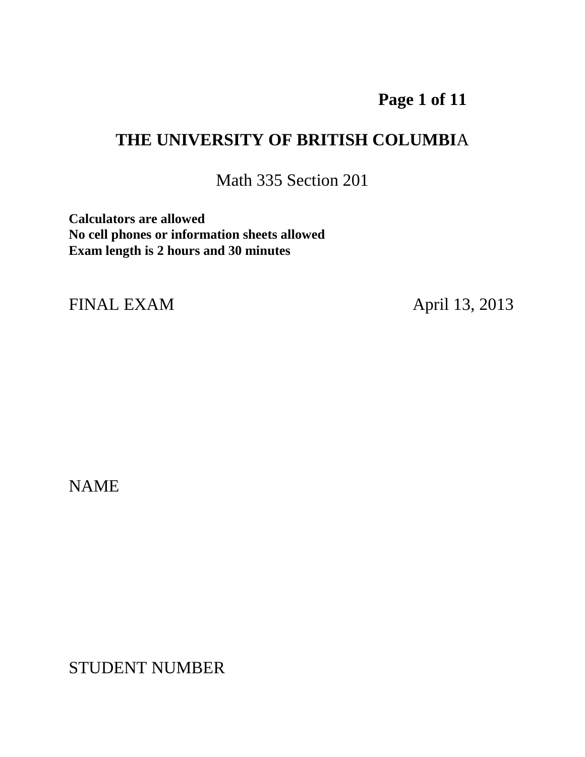# **Page 1 of 11**

## **THE UNIVERSITY OF BRITISH COLUMBI**A

Math 335 Section 201

**Calculators are allowed No cell phones or information sheets allowed Exam length is 2 hours and 30 minutes**

FINAL EXAM April 13, 2013

NAME

STUDENT NUMBER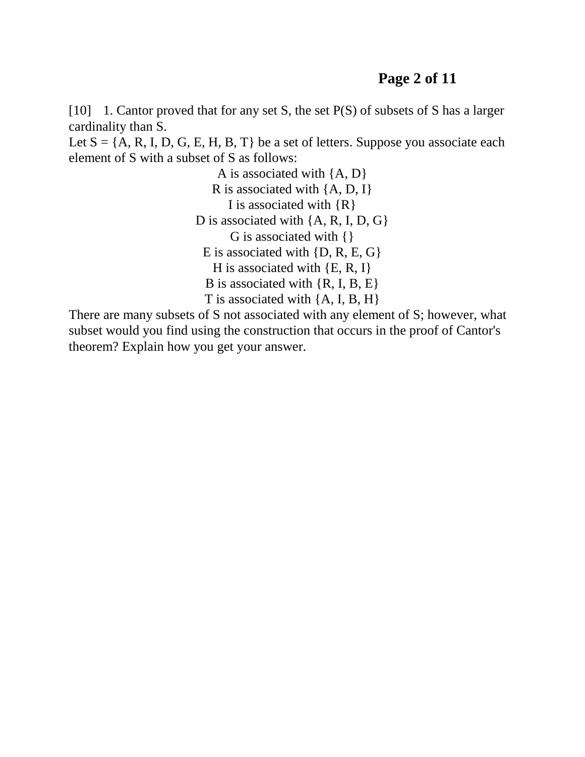#### **Page 2 of 11**

[10] 1. Cantor proved that for any set S, the set P(S) of subsets of S has a larger cardinality than S.

Let  $S = \{A, R, I, D, G, E, H, B, T\}$  be a set of letters. Suppose you associate each element of S with a subset of S as follows:

> A is associated with {A, D} R is associated with  $\{A, D, I\}$ I is associated with  ${R}$ D is associated with  $\{A, R, I, D, G\}$ G is associated with {} E is associated with {D, R, E, G} H is associated with  $\{E, R, I\}$ B is associated with {R, I, B, E} T is associated with {A, I, B, H}

There are many subsets of S not associated with any element of S; however, what subset would you find using the construction that occurs in the proof of Cantor's theorem? Explain how you get your answer.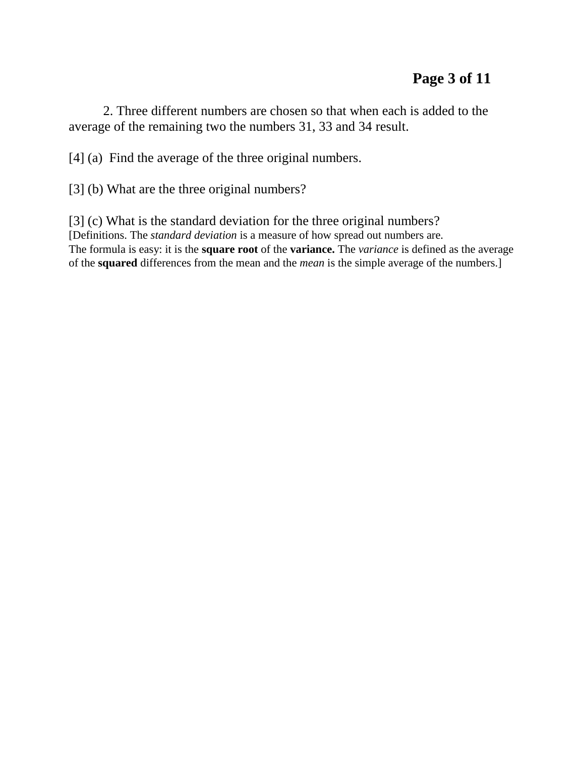2. Three different numbers are chosen so that when each is added to the average of the remaining two the numbers 31, 33 and 34 result.

[4] (a) Find the average of the three original numbers.

[3] (b) What are the three original numbers?

[3] (c) What is the standard deviation for the three original numbers? [Definitions. The *standard deviation* is a measure of how spread out numbers are. The formula is easy: it is the **square root** of the **variance.** The *variance* is defined as the average of the **squared** differences from the mean and the *mean* is the simple average of the numbers.]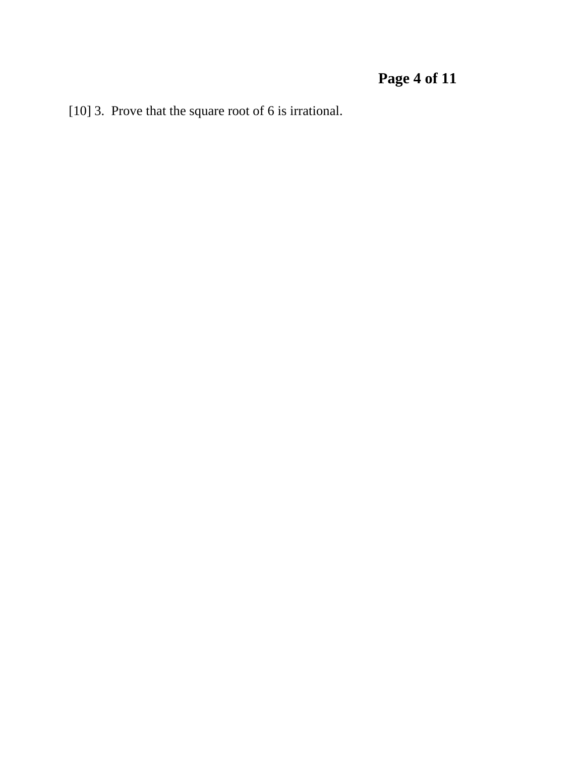# **Page 4 of 11**

[10] 3. Prove that the square root of 6 is irrational.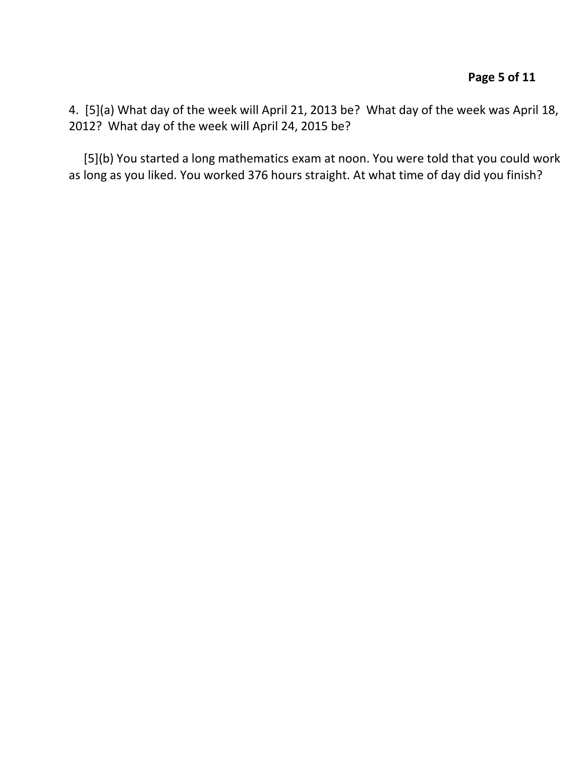4. [5](a) What day of the week will April 21, 2013 be? What day of the week was April 18, 2012? What day of the week will April 24, 2015 be?

 [5](b) You started a long mathematics exam at noon. You were told that you could work as long as you liked. You worked 376 hours straight. At what time of day did you finish?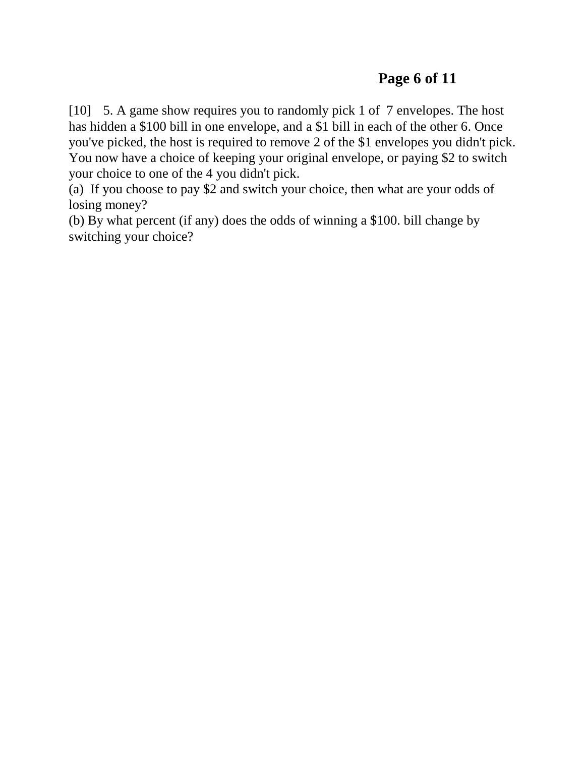[10] 5. A game show requires you to randomly pick 1 of 7 envelopes. The host has hidden a \$100 bill in one envelope, and a \$1 bill in each of the other 6. Once you've picked, the host is required to remove 2 of the \$1 envelopes you didn't pick. You now have a choice of keeping your original envelope, or paying \$2 to switch your choice to one of the 4 you didn't pick.

(a) If you choose to pay \$2 and switch your choice, then what are your odds of losing money?

(b) By what percent (if any) does the odds of winning a \$100. bill change by switching your choice?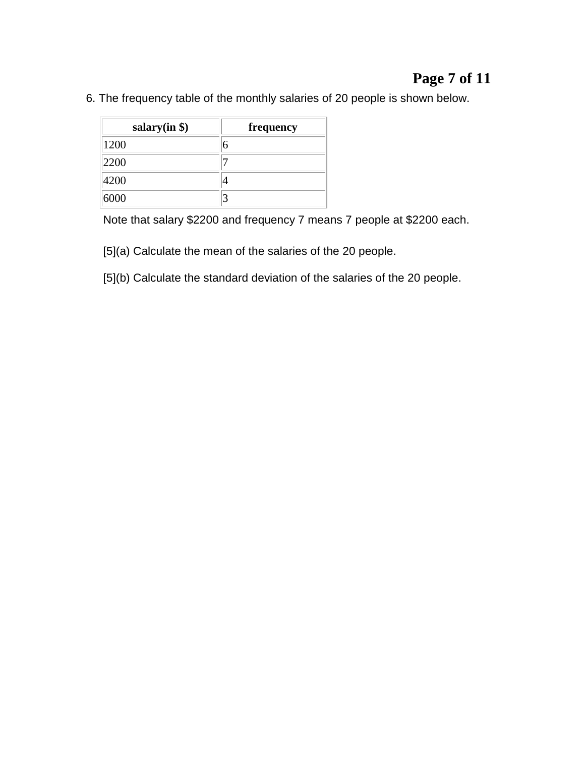## **Page 7 of 11**

6. The frequency table of the monthly salaries of 20 people is shown below.

| salary $(in $)$ | frequency |
|-----------------|-----------|
| 1200            | 6         |
| 2200            |           |
| 4200            |           |
| 6000            |           |

Note that salary \$2200 and frequency 7 means 7 people at \$2200 each.

[5](a) Calculate the mean of the salaries of the 20 people.

[5](b) Calculate the standard deviation of the salaries of the 20 people.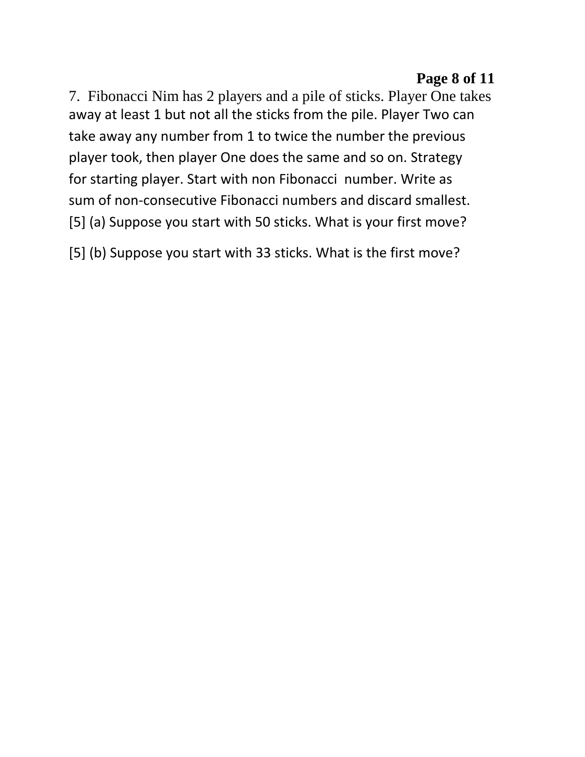### **Page 8 of 11**

7. Fibonacci Nim has 2 players and a pile of sticks. Player One takes away at least 1 but not all the sticks from the pile. Player Two can take away any number from 1 to twice the number the previous player took, then player One does the same and so on. Strategy for starting player. Start with non Fibonacci number. Write as sum of non-consecutive Fibonacci numbers and discard smallest. [5] (a) Suppose you start with 50 sticks. What is your first move?

[5] (b) Suppose you start with 33 sticks. What is the first move?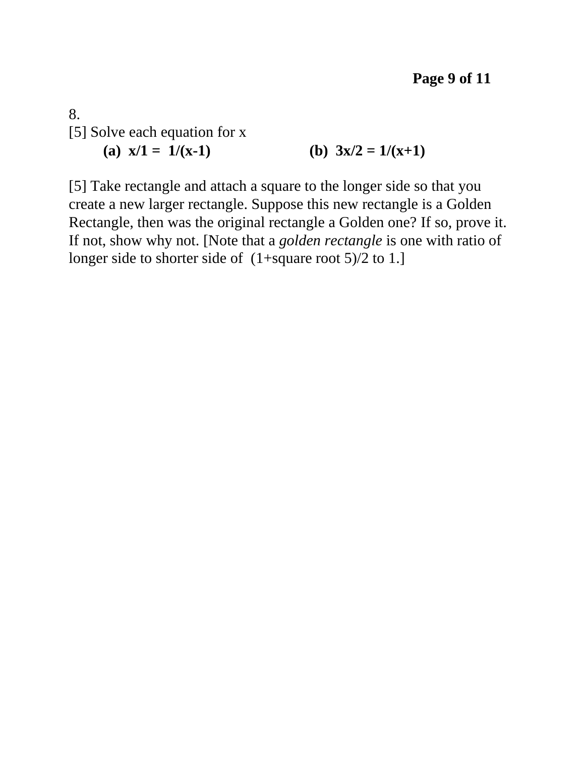8. [5] Solve each equation for x (a)  $x/1 = 1/(x-1)$  (b)  $3x/2 = 1/(x+1)$ 

[5] Take rectangle and attach a square to the longer side so that you create a new larger rectangle. Suppose this new rectangle is a Golden Rectangle, then was the original rectangle a Golden one? If so, prove it. If not, show why not. [Note that a *golden rectangle* is one with ratio of longer side to shorter side of  $(1+square root 5)/2$  to 1.]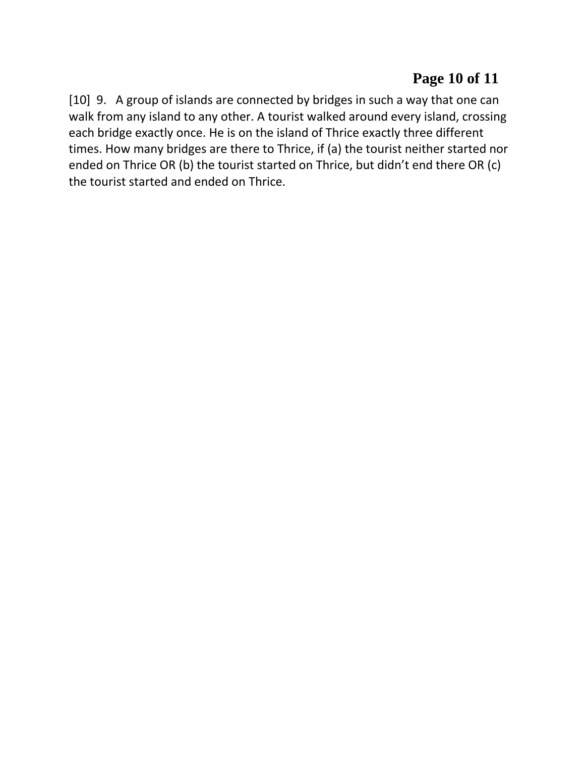## **Page 10 of 11**

[10] 9. A group of islands are connected by bridges in such a way that one can walk from any island to any other. A tourist walked around every island, crossing each bridge exactly once. He is on the island of Thrice exactly three different times. How many bridges are there to Thrice, if (a) the tourist neither started nor ended on Thrice OR (b) the tourist started on Thrice, but didn't end there OR (c) the tourist started and ended on Thrice.